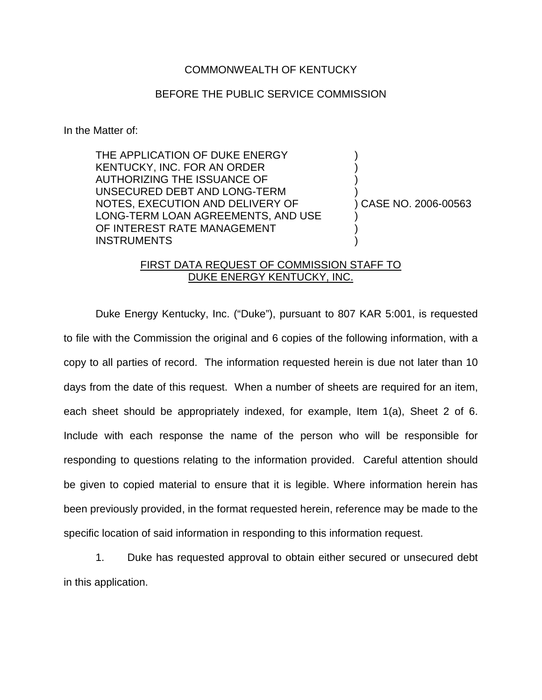## COMMONWEALTH OF KENTUCKY

## BEFORE THE PUBLIC SERVICE COMMISSION

In the Matter of:

THE APPLICATION OF DUKE ENERGY KENTUCKY, INC. FOR AN ORDER AUTHORIZING THE ISSUANCE OF UNSECURED DEBT AND LONG-TERM NOTES, EXECUTION AND DELIVERY OF LONG-TERM LOAN AGREEMENTS, AND USE OF INTEREST RATE MANAGEMENT **INSTRUMENTS** 

) CASE NO. 2006-00563

) ) ) )

) ) )

## FIRST DATA REQUEST OF COMMISSION STAFF TO DUKE ENERGY KENTUCKY, INC.

Duke Energy Kentucky, Inc. ("Duke"), pursuant to 807 KAR 5:001, is requested to file with the Commission the original and 6 copies of the following information, with a copy to all parties of record. The information requested herein is due not later than 10 days from the date of this request. When a number of sheets are required for an item, each sheet should be appropriately indexed, for example, Item 1(a), Sheet 2 of 6. Include with each response the name of the person who will be responsible for responding to questions relating to the information provided. Careful attention should be given to copied material to ensure that it is legible. Where information herein has been previously provided, in the format requested herein, reference may be made to the specific location of said information in responding to this information request.

1. Duke has requested approval to obtain either secured or unsecured debt in this application.